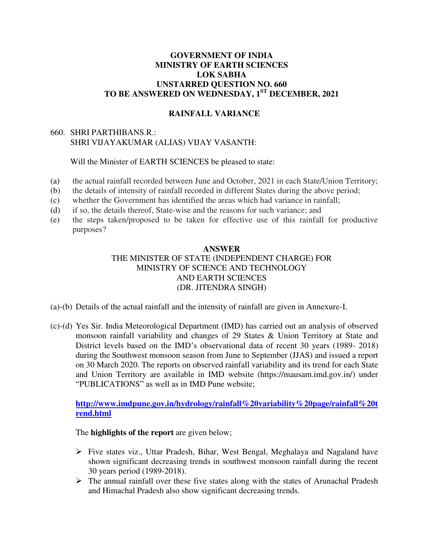## **GOVERNMENT OF INDIA MINISTRY OF EARTH SCIENCES LOK SABHA UNSTARRED QUESTION NO. 660 TO BE ANSWERED ON WEDNESDAY, 1ST DECEMBER, 2021**

## **RAINFALL VARIANCE**

## 660. SHRI PARTHIBANS.R.: SHRI VIJAYAKUMAR (ALIAS) VIJAY VASANTH:

Will the Minister of EARTH SCIENCES be pleased to state:

- (a) the actual rainfall recorded between June and October, 2021 in each State/Union Territory;
- (b) the details of intensity of rainfall recorded in different States during the above period;
- (c) whether the Government has identified the areas which had variance in rainfall;
- (d) if so, the details thereof, State-wise and the reasons for such variance; and
- (e) the steps taken/proposed to be taken for effective use of this rainfall for productive purposes?

## **ANSWER**  THE MINISTER OF STATE (INDEPENDENT CHARGE) FOR MINISTRY OF SCIENCE AND TECHNOLOGY AND EARTH SCIENCES (DR. JITENDRA SINGH)

- (a)-(b) Details of the actual rainfall and the intensity of rainfall are given in Annexure-I.
- (c)-(d) Yes Sir. India Meteorological Department (IMD) has carried out an analysis of observed monsoon rainfall variability and changes of 29 States & Union Territory at State and District levels based on the IMD's observational data of recent 30 years (1989- 2018) during the Southwest monsoon season from June to September (JJAS) and issued a report on 30 March 2020. The reports on observed rainfall variability and its trend for each State and Union Territory are available in IMD website (https://mausam.imd.gov.in/) under "PUBLICATIONS" as well as in IMD Pune website;

**[http://www.imdpune.gov.in/hydrology/rainfall%20variability%20page/rainfall%20t](http://www.imdpune.gov.in/hydrology/rainfall%20variability%20page/rainfall%20trend.html) [rend.html](http://www.imdpune.gov.in/hydrology/rainfall%20variability%20page/rainfall%20trend.html)**

#### The **highlights of the report** are given below;

- $\triangleright$  Five states viz., Uttar Pradesh, Bihar, West Bengal, Meghalaya and Nagaland have shown significant decreasing trends in southwest monsoon rainfall during the recent 30 years period (1989-2018).
- $\triangleright$  The annual rainfall over these five states along with the states of Arunachal Pradesh and Himachal Pradesh also show significant decreasing trends.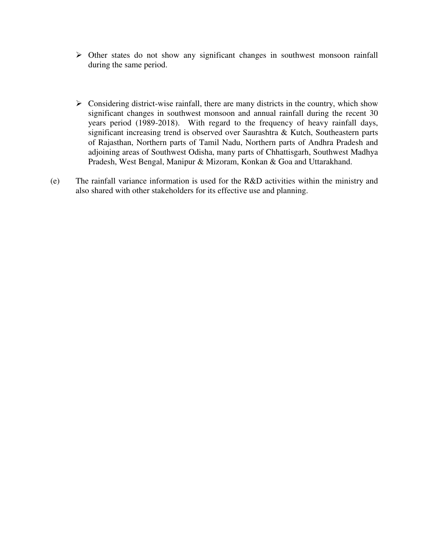- $\triangleright$  Other states do not show any significant changes in southwest monsoon rainfall during the same period.
- $\triangleright$  Considering district-wise rainfall, there are many districts in the country, which show significant changes in southwest monsoon and annual rainfall during the recent 30 years period (1989-2018). With regard to the frequency of heavy rainfall days, significant increasing trend is observed over Saurashtra & Kutch, Southeastern parts of Rajasthan, Northern parts of Tamil Nadu, Northern parts of Andhra Pradesh and adjoining areas of Southwest Odisha, many parts of Chhattisgarh, Southwest Madhya Pradesh, West Bengal, Manipur & Mizoram, Konkan & Goa and Uttarakhand.
- (e) The rainfall variance information is used for the R&D activities within the ministry and also shared with other stakeholders for its effective use and planning.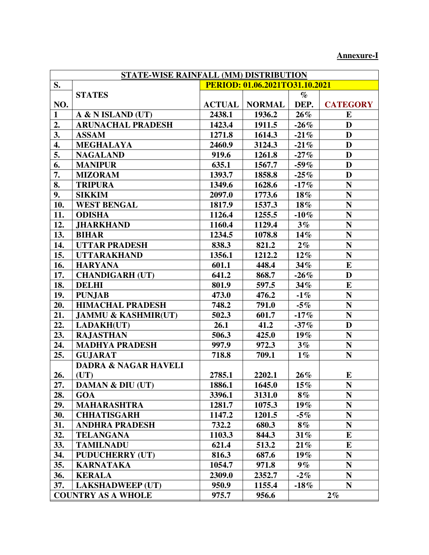# **Annexure-I**

| STATE-WISE RAINFALL (MM) DISTRIBUTION |                                 |                                |               |         |                 |
|---------------------------------------|---------------------------------|--------------------------------|---------------|---------|-----------------|
| S.                                    |                                 | PERIOD: 01.06.2021TO31.10.2021 |               |         |                 |
|                                       | <b>STATES</b>                   |                                |               | $\%$    |                 |
| NO.                                   |                                 | <b>ACTUAL</b>                  | <b>NORMAL</b> | DEP.    | <b>CATEGORY</b> |
| $\mathbf{1}$                          | A & N ISLAND (UT)               | 2438.1                         | 1936.2        | $26\%$  | E               |
| 2.                                    | <b>ARUNACHAL PRADESH</b>        | 1423.4                         | 1911.5        | $-26%$  | D               |
| 3.                                    | <b>ASSAM</b>                    | 1271.8                         | 1614.3        | $-21%$  | D               |
| $\overline{4}$ .                      | <b>MEGHALAYA</b>                | 2460.9                         | 3124.3        | $-21%$  | D               |
| 5.                                    | <b>NAGALAND</b>                 | 919.6                          | 1261.8        | $-27%$  | D               |
| 6.                                    | <b>MANIPUR</b>                  | 635.1                          | 1567.7        | $-59\%$ | D               |
| 7.                                    | <b>MIZORAM</b>                  | 1393.7                         | 1858.8        | $-25%$  | D               |
| 8.                                    | <b>TRIPURA</b>                  | 1349.6                         | 1628.6        | $-17%$  | N               |
| 9.                                    | <b>SIKKIM</b>                   | 2097.0                         | 1773.6        | 18%     | N               |
| 10.                                   | <b>WEST BENGAL</b>              | 1817.9                         | 1537.3        | $18\%$  | ${\bf N}$       |
| 11.                                   | <b>ODISHA</b>                   | 1126.4                         | 1255.5        | $-10\%$ | N               |
| 12.                                   | <b>JHARKHAND</b>                | 1160.4                         | 1129.4        | $3\%$   | $\mathbf N$     |
| 13.                                   | <b>BIHAR</b>                    | 1234.5                         | 1078.8        | $14\%$  | ${\bf N}$       |
| 14.                                   | <b>UTTAR PRADESH</b>            | 838.3                          | 821.2         | $2\%$   | ${\bf N}$       |
| 15.                                   | <b>UTTARAKHAND</b>              | 1356.1                         | 1212.2        | $12\%$  | ${\bf N}$       |
| 16.                                   | <b>HARYANA</b>                  | 601.1                          | 448.4         | 34%     | E               |
| 17.                                   | <b>CHANDIGARH (UT)</b>          | 641.2                          | 868.7         | $-26%$  | D               |
| 18.                                   | <b>DELHI</b>                    | 801.9                          | 597.5         | $34\%$  | E               |
| 19.                                   | <b>PUNJAB</b>                   | 473.0                          | 476.2         | $-1\%$  | $\mathbf N$     |
| 20.                                   | <b>HIMACHAL PRADESH</b>         | 748.2                          | 791.0         | $-5%$   | N               |
| 21.                                   | <b>JAMMU &amp; KASHMIR(UT)</b>  | 502.3                          | 601.7         | $-17%$  | N               |
| 22.                                   | <b>LADAKH(UT)</b>               | 26.1                           | 41.2          | $-37%$  | D               |
| 23.                                   | <b>RAJASTHAN</b>                | 506.3                          | 425.0         | $19\%$  | ${\bf N}$       |
| 24.                                   | <b>MADHYA PRADESH</b>           | 997.9                          | 972.3         | $3\%$   | ${\bf N}$       |
| 25.                                   | <b>GUJARAT</b>                  | 718.8                          | 709.1         | $1\%$   | ${\bf N}$       |
|                                       | <b>DADRA &amp; NAGAR HAVELI</b> |                                |               |         |                 |
| 26.                                   | (UT)                            | 2785.1                         | 2202.1        | $26\%$  | E               |
| 27.                                   | <b>DAMAN &amp; DIU (UT)</b>     | 1886.1                         | 1645.0        | $15\%$  | $\mathbf N$     |
| 28.                                   | <b>GOA</b>                      | 3396.1                         | 3131.0        | $8\%$   | N               |
| 29.                                   | <b>MAHARASHTRA</b>              | 1281.7                         | 1075.3        | $19\%$  | $\mathbf N$     |
| 30.                                   | <b>CHHATISGARH</b>              | 1147.2                         | 1201.5        | -5%     | N               |
| 31.                                   | <b>ANDHRA PRADESH</b>           | 732.2                          | 680.3         | $8\%$   | $\mathbf N$     |
| 32.                                   | <b>TELANGANA</b>                | 1103.3                         | 844.3         | $31\%$  | E               |
| 33.                                   | <b>TAMILNADU</b>                | 621.4                          | 513.2         | $21\%$  | $\bf{E}$        |
| 34.                                   | <b>PUDUCHERRY (UT)</b>          | 816.3                          | 687.6         | $19\%$  | ${\bf N}$       |
| 35.                                   | <b>KARNATAKA</b>                | 1054.7                         | 971.8         | $9\%$   | $\mathbf N$     |
| 36.                                   | <b>KERALA</b>                   | 2309.0                         | 2352.7        | $-2\%$  | $\mathbf N$     |
| 37.                                   | <b>LAKSHADWEEP (UT)</b>         | 950.9                          | 1155.4        | $-18%$  | ${\bf N}$       |
|                                       | <b>COUNTRY AS A WHOLE</b>       | 975.7                          | 956.6         |         | $2\%$           |